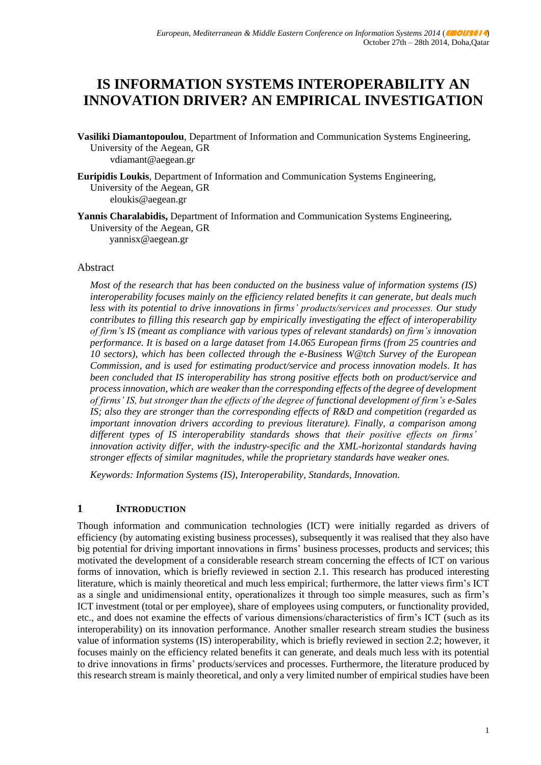# **IS INFORMATION SYSTEMS INTEROPERABILITY AN INNOVATION DRIVER? AN EMPIRICAL INVESTIGATION**

- **Vasiliki Diamantopoulou**, Department of Information and Communication Systems Engineering, University of the Aegean, GR vdiamant@aegean.gr
- **Euripidis Loukis**, Department of Information and Communication Systems Engineering, University of the Aegean, GR eloukis@aegean.gr
- **Yannis Charalabidis, Department of Information and Communication Systems Engineering,** University of the Aegean, GR yannisx@aegean.gr

#### Abstract

*Most of the research that has been conducted on the business value of information systems (IS) interoperability focuses mainly on the efficiency related benefits it can generate, but deals much less with its potential to drive innovations in firms' products/services and processes. Our study contributes to filling this research gap by empirically investigating the effect of interoperability of firm's IS (meant as compliance with various types of relevant standards) on firm's innovation performance. It is based on a large dataset from 14.065 European firms (from 25 countries and 10 sectors), which has been collected through the e-Business W@tch Survey of the European Commission, and is used for estimating product/service and process innovation models. It has been concluded that IS interoperability has strong positive effects both on product/service and process innovation, which are weaker than the corresponding effects of the degree of development of firms' IS, but stronger than the effects of the degree of functional development of firm's e-Sales IS; also they are stronger than the corresponding effects of R&D and competition (regarded as important innovation drivers according to previous literature). Finally, a comparison among different types of IS interoperability standards shows that their positive effects on firms' innovation activity differ, with the industry-specific and the XML-horizontal standards having stronger effects of similar magnitudes, while the proprietary standards have weaker ones.*

*Keywords: Information Systems (IS), Interoperability, Standards, Innovation.*

#### **1 INTRODUCTION**

Though information and communication technologies (ICT) were initially regarded as drivers of efficiency (by automating existing business processes), subsequently it was realised that they also have big potential for driving important innovations in firms' business processes, products and services; this motivated the development of a considerable research stream concerning the effects of ICT on various forms of innovation, which is briefly reviewed in section 2.1. This research has produced interesting literature, which is mainly theoretical and much less empirical; furthermore, the latter views firm's ICT as a single and unidimensional entity, operationalizes it through too simple measures, such as firm's ICT investment (total or per employee), share of employees using computers, or functionality provided, etc., and does not examine the effects of various dimensions/characteristics of firm's ICT (such as its interoperability) on its innovation performance. Another smaller research stream studies the business value of information systems (IS) interoperability, which is briefly reviewed in section 2.2; however, it focuses mainly on the efficiency related benefits it can generate, and deals much less with its potential to drive innovations in firms' products/services and processes. Furthermore, the literature produced by this research stream is mainly theoretical, and only a very limited number of empirical studies have been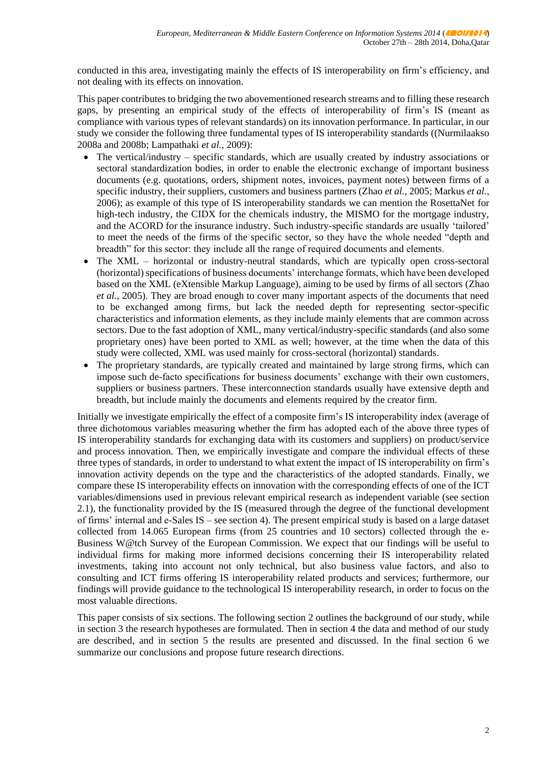conducted in this area, investigating mainly the effects of IS interoperability on firm's efficiency, and not dealing with its effects on innovation.

This paper contributes to bridging the two abovementioned research streams and to filling these research gaps, by presenting an empirical study of the effects of interoperability of firm's IS (meant as compliance with various types of relevant standards) on its innovation performance. In particular, in our study we consider the following three fundamental types of IS interoperability standards ((Nurmilaakso 2008a and 2008b; Lampathaki *et al.*, 2009):

- The vertical/industry specific standards, which are usually created by industry associations or sectoral standardization bodies, in order to enable the electronic exchange of important business documents (e.g. quotations, orders, shipment notes, invoices, payment notes) between firms of a specific industry, their suppliers, customers and business partners (Zhao *et al.*, 2005; Markus *et al.*, 2006); as example of this type of IS interoperability standards we can mention the RosettaNet for high-tech industry, the CIDX for the chemicals industry, the MISMO for the mortgage industry, and the ACORD for the insurance industry. Such industry-specific standards are usually 'tailored' to meet the needs of the firms of the specific sector, so they have the whole needed "depth and breadth" for this sector: they include all the range of required documents and elements.
- The XML horizontal or industry-neutral standards, which are typically open cross-sectoral (horizontal) specifications of business documents' interchange formats, which have been developed based on the XML (eXtensible Markup Language), aiming to be used by firms of all sectors (Zhao *et al.*, 2005). They are broad enough to cover many important aspects of the documents that need to be exchanged among firms, but lack the needed depth for representing sector-specific characteristics and information elements, as they include mainly elements that are common across sectors. Due to the fast adoption of XML, many vertical/industry-specific standards (and also some proprietary ones) have been ported to XML as well; however, at the time when the data of this study were collected, XML was used mainly for cross-sectoral (horizontal) standards.
- The proprietary standards, are typically created and maintained by large strong firms, which can impose such de-facto specifications for business documents' exchange with their own customers, suppliers or business partners. These interconnection standards usually have extensive depth and breadth, but include mainly the documents and elements required by the creator firm.

Initially we investigate empirically the effect of a composite firm's IS interoperability index (average of three dichotomous variables measuring whether the firm has adopted each of the above three types of IS interoperability standards for exchanging data with its customers and suppliers) on product/service and process innovation. Then, we empirically investigate and compare the individual effects of these three types of standards, in order to understand to what extent the impact of IS interoperability on firm's innovation activity depends on the type and the characteristics of the adopted standards. Finally, we compare these IS interoperability effects on innovation with the corresponding effects of one of the ICT variables/dimensions used in previous relevant empirical research as independent variable (see section 2.1), the functionality provided by the IS (measured through the degree of the functional development of firms' internal and e-Sales IS – see section 4). The present empirical study is based on a large dataset collected from 14.065 European firms (from 25 countries and 10 sectors) collected through the e-Business W@tch Survey of the European Commission. We expect that our findings will be useful to individual firms for making more informed decisions concerning their IS interoperability related investments, taking into account not only technical, but also business value factors, and also to consulting and ICT firms offering IS interoperability related products and services; furthermore, our findings will provide guidance to the technological IS interoperability research, in order to focus on the most valuable directions.

This paper consists of six sections. The following section 2 outlines the background of our study, while in section 3 the research hypotheses are formulated. Then in section 4 the data and method of our study are described, and in section 5 the results are presented and discussed. In the final section 6 we summarize our conclusions and propose future research directions.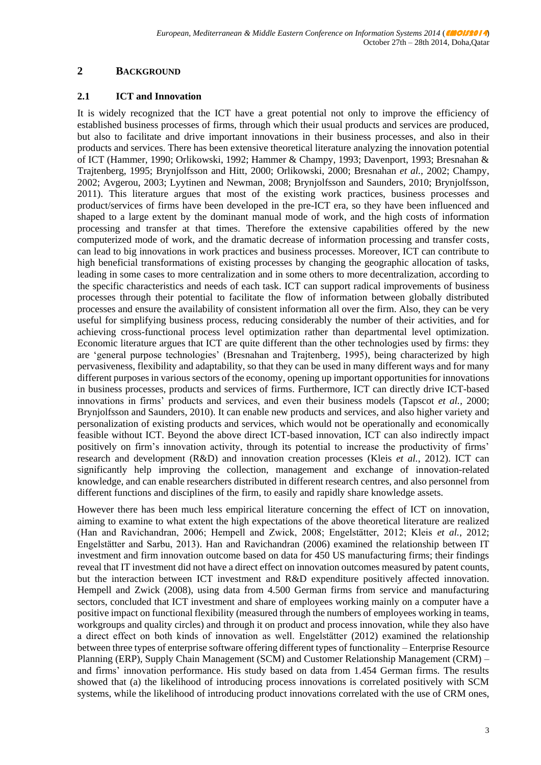## **2 BACKGROUND**

#### **2.1 ICT and Innovation**

It is widely recognized that the ICT have a great potential not only to improve the efficiency of established business processes of firms, through which their usual products and services are produced, but also to facilitate and drive important innovations in their business processes, and also in their products and services. There has been extensive theoretical literature analyzing the innovation potential of ICT (Hammer, 1990; Orlikowski, 1992; Hammer & Champy, 1993; Davenport, 1993; Bresnahan & Trajtenberg, 1995; Brynjolfsson and Hitt, 2000; Orlikowski, 2000; Bresnahan *et al.,* 2002; Champy, 2002; Avgerou, 2003; Lyytinen and Newman, 2008; Brynjolfsson and Saunders, 2010; Brynjolfsson, 2011). This literature argues that most of the existing work practices, business processes and product/services of firms have been developed in the pre-ICT era, so they have been influenced and shaped to a large extent by the dominant manual mode of work, and the high costs of information processing and transfer at that times. Therefore the extensive capabilities offered by the new computerized mode of work, and the dramatic decrease of information processing and transfer costs, can lead to big innovations in work practices and business processes. Moreover, ICT can contribute to high beneficial transformations of existing processes by changing the geographic allocation of tasks, leading in some cases to more centralization and in some others to more decentralization, according to the specific characteristics and needs of each task. ICT can support radical improvements of business processes through their potential to facilitate the flow of information between globally distributed processes and ensure the availability of consistent information all over the firm. Also, they can be very useful for simplifying business process, reducing considerably the number of their activities, and for achieving cross-functional process level optimization rather than departmental level optimization. Economic literature argues that ICT are quite different than the other technologies used by firms: they are 'general purpose technologies' (Bresnahan and Trajtenberg, 1995), being characterized by high pervasiveness, flexibility and adaptability, so that they can be used in many different ways and for many different purposes in various sectors of the economy, opening up important opportunities for innovations in business processes, products and services of firms. Furthermore, ICT can directly drive ICT-based innovations in firms' products and services, and even their business models (Tapscot *et al.,* 2000; Brynjolfsson and Saunders, 2010). It can enable new products and services, and also higher variety and personalization of existing products and services, which would not be operationally and economically feasible without ICT. Beyond the above direct ICT-based innovation, ICT can also indirectly impact positively on firm's innovation activity, through its potential to increase the productivity of firms' research and development (R&D) and innovation creation processes (Kleis *et al.*, 2012). ICT can significantly help improving the collection, management and exchange of innovation-related knowledge, and can enable researchers distributed in different research centres, and also personnel from different functions and disciplines of the firm, to easily and rapidly share knowledge assets.

However there has been much less empirical literature concerning the effect of ICT on innovation, aiming to examine to what extent the high expectations of the above theoretical literature are realized (Han and Ravichandran, 2006; Hempell and Zwick, 2008; Engelstätter, 2012; Kleis *et al.*, 2012; Engelstätter and Sarbu, 2013). Han and Ravichandran (2006) examined the relationship between IT investment and firm innovation outcome based on data for 450 US manufacturing firms; their findings reveal that IT investment did not have a direct effect on innovation outcomes measured by patent counts, but the interaction between ICT investment and R&D expenditure positively affected innovation. Hempell and Zwick (2008), using data from 4.500 German firms from service and manufacturing sectors, concluded that ICT investment and share of employees working mainly on a computer have a positive impact on functional flexibility (measured through the numbers of employees working in teams, workgroups and quality circles) and through it on product and process innovation, while they also have a direct effect on both kinds of innovation as well. Engelstätter (2012) examined the relationship between three types of enterprise software offering different types of functionality – Enterprise Resource Planning (ERP), Supply Chain Management (SCM) and Customer Relationship Management (CRM) – and firms' innovation performance. His study based on data from 1.454 German firms. The results showed that (a) the likelihood of introducing process innovations is correlated positively with SCM systems, while the likelihood of introducing product innovations correlated with the use of CRM ones,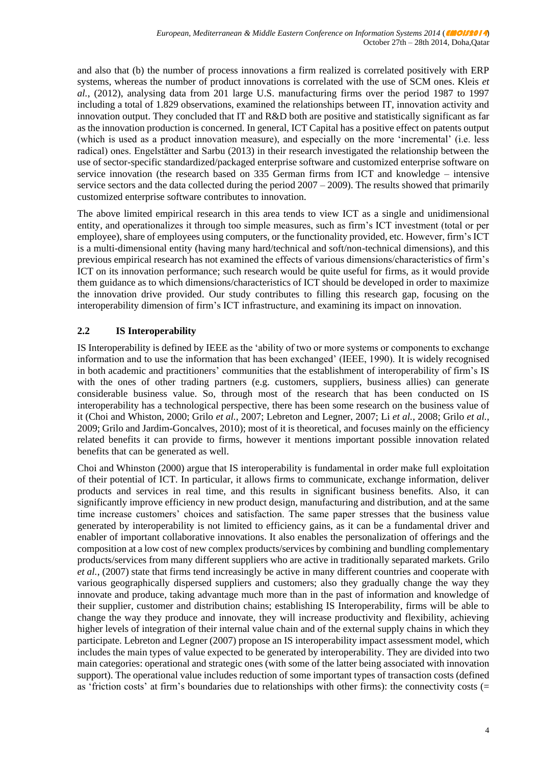and also that (b) the number of process innovations a firm realized is correlated positively with ERP systems, whereas the number of product innovations is correlated with the use of SCM ones. Kleis *et al.*, (2012), analysing data from 201 large U.S. manufacturing firms over the period 1987 to 1997 including a total of 1.829 observations, examined the relationships between IT, innovation activity and innovation output. They concluded that IT and R&D both are positive and statistically significant as far as the innovation production is concerned. In general, ICT Capital has a positive effect on patents output (which is used as a product innovation measure), and especially on the more 'incremental' (i.e. less radical) ones. Engelstätter and Sarbu (2013) in their research investigated the relationship between the use of sector-specific standardized/packaged enterprise software and customized enterprise software on service innovation (the research based on 335 German firms from ICT and knowledge – intensive service sectors and the data collected during the period  $2007 - 2009$ ). The results showed that primarily customized enterprise software contributes to innovation.

The above limited empirical research in this area tends to view ICT as a single and unidimensional entity, and operationalizes it through too simple measures, such as firm's ICT investment (total or per employee), share of employees using computers, or the functionality provided, etc. However, firm's ICT is a multi-dimensional entity (having many hard/technical and soft/non-technical dimensions), and this previous empirical research has not examined the effects of various dimensions/characteristics of firm's ICT on its innovation performance; such research would be quite useful for firms, as it would provide them guidance as to which dimensions/characteristics of ICT should be developed in order to maximize the innovation drive provided. Our study contributes to filling this research gap, focusing on the interoperability dimension of firm's ICT infrastructure, and examining its impact on innovation.

## **2.2 IS Interoperability**

IS Interoperability is defined by IEEE as the 'ability of two or more systems or components to exchange information and to use the information that has been exchanged' (IEEE, 1990). It is widely recognised in both academic and practitioners' communities that the establishment of interoperability of firm's IS with the ones of other trading partners (e.g. customers, suppliers, business allies) can generate considerable business value. So, through most of the research that has been conducted on IS interoperability has a technological perspective, there has been some research on the business value of it (Choi and Whiston, 2000; Grilo *et al.*, 2007; Lebreton and Legner, 2007; Li *et al.*, 2008; Grilo *et al.*, 2009; Grilo and Jardim-Goncalves, 2010); most of it is theoretical, and focuses mainly on the efficiency related benefits it can provide to firms, however it mentions important possible innovation related benefits that can be generated as well.

Choi and Whinston (2000) argue that IS interoperability is fundamental in order make full exploitation of their potential of ICT. In particular, it allows firms to communicate, exchange information, deliver products and services in real time, and this results in significant business benefits. Also, it can significantly improve efficiency in new product design, manufacturing and distribution, and at the same time increase customers' choices and satisfaction. The same paper stresses that the business value generated by interoperability is not limited to efficiency gains, as it can be a fundamental driver and enabler of important collaborative innovations. It also enables the personalization of offerings and the composition at a low cost of new complex products/services by combining and bundling complementary products/services from many different suppliers who are active in traditionally separated markets. Grilo *et al.*, (2007) state that firms tend increasingly be active in many different countries and cooperate with various geographically dispersed suppliers and customers; also they gradually change the way they innovate and produce, taking advantage much more than in the past of information and knowledge of their supplier, customer and distribution chains; establishing IS Interoperability, firms will be able to change the way they produce and innovate, they will increase productivity and flexibility, achieving higher levels of integration of their internal value chain and of the external supply chains in which they participate. Lebreton and Legner (2007) propose an IS interoperability impact assessment model, which includes the main types of value expected to be generated by interoperability. They are divided into two main categories: operational and strategic ones (with some of the latter being associated with innovation support). The operational value includes reduction of some important types of transaction costs (defined as 'friction costs' at firm's boundaries due to relationships with other firms): the connectivity costs (=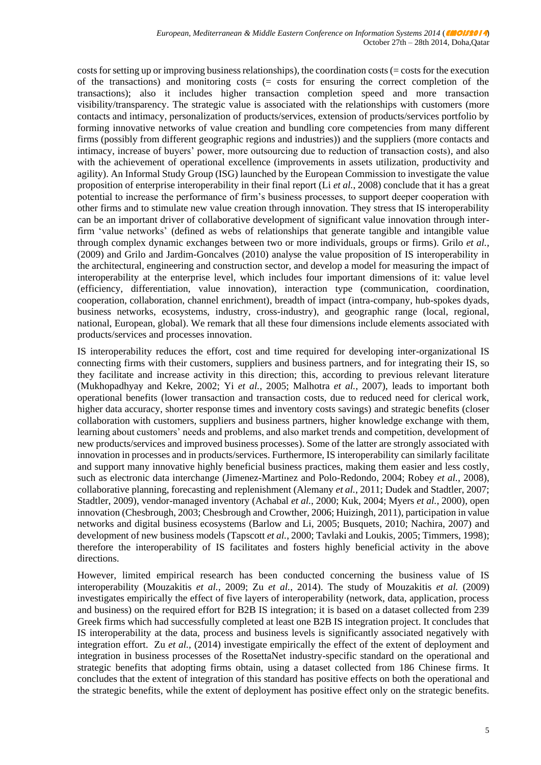costs for setting up or improving business relationships), the coordination costs (= costs for the execution of the transactions) and monitoring costs (= costs for ensuring the correct completion of the transactions); also it includes higher transaction completion speed and more transaction visibility/transparency. The strategic value is associated with the relationships with customers (more contacts and intimacy, personalization of products/services, extension of products/services portfolio by forming innovative networks of value creation and bundling core competencies from many different firms (possibly from different geographic regions and industries)) and the suppliers (more contacts and intimacy, increase of buyers' power, more outsourcing due to reduction of transaction costs), and also with the achievement of operational excellence (improvements in assets utilization, productivity and agility). An Informal Study Group (ISG) launched by the European Commission to investigate the value proposition of enterprise interoperability in their final report (Li *et al.*, 2008) conclude that it has a great potential to increase the performance of firm's business processes, to support deeper cooperation with other firms and to stimulate new value creation through innovation. They stress that IS interoperability can be an important driver of collaborative development of significant value innovation through interfirm 'value networks' (defined as webs of relationships that generate tangible and intangible value through complex dynamic exchanges between two or more individuals, groups or firms). Grilo *et al.,* (2009) and Grilo and Jardim-Goncalves (2010) analyse the value proposition of IS interoperability in the architectural, engineering and construction sector, and develop a model for measuring the impact of interoperability at the enterprise level, which includes four important dimensions of it: value level (efficiency, differentiation, value innovation), interaction type (communication, coordination, cooperation, collaboration, channel enrichment), breadth of impact (intra-company, hub-spokes dyads, business networks, ecosystems, industry, cross-industry), and geographic range (local, regional, national, European, global). We remark that all these four dimensions include elements associated with products/services and processes innovation.

IS interoperability reduces the effort, cost and time required for developing inter-organizational IS connecting firms with their customers, suppliers and business partners, and for integrating their IS, so they facilitate and increase activity in this direction; this, according to previous relevant literature (Mukhopadhyay and Kekre, 2002; Yi *et al.*, 2005; Malhotra *et al.*, 2007), leads to important both operational benefits (lower transaction and transaction costs, due to reduced need for clerical work, higher data accuracy, shorter response times and inventory costs savings) and strategic benefits (closer collaboration with customers, suppliers and business partners, higher knowledge exchange with them, learning about customers' needs and problems, and also market trends and competition, development of new products/services and improved business processes). Some of the latter are strongly associated with innovation in processes and in products/services. Furthermore, IS interoperability can similarly facilitate and support many innovative highly beneficial business practices, making them easier and less costly, such as electronic data interchange (Jimenez-Martinez and Polo-Redondo, 2004; Robey *et al.*, 2008), collaborative planning, forecasting and replenishment (Alemany *et al.*, 2011; Dudek and Stadtler, 2007; Stadtler, 2009), vendor-managed inventory (Achabal *et al.*, 2000; Kuk, 2004; Myers *et al.*, 2000), open innovation (Chesbrough, 2003; Chesbrough and Crowther, 2006; Huizingh, 2011), participation in value networks and digital business ecosystems (Barlow and Li, 2005; Busquets, 2010; Nachira, 2007) and development of new business models (Tapscott *et al.*, 2000; Tavlaki and Loukis, 2005; Timmers, 1998); therefore the interoperability of IS facilitates and fosters highly beneficial activity in the above directions.

However, limited empirical research has been conducted concerning the business value of IS interoperability (Mouzakitis *et al.*, 2009; Zu *et al.*, 2014). The study of Mouzakitis *et al.* (2009) investigates empirically the effect of five layers of interoperability (network, data, application, process and business) on the required effort for B2B IS integration; it is based on a dataset collected from 239 Greek firms which had successfully completed at least one B2B IS integration project. It concludes that IS interoperability at the data, process and business levels is significantly associated negatively with integration effort. Zu *et al.,* (2014) investigate empirically the effect of the extent of deployment and integration in business processes of the RosettaNet industry-specific standard on the operational and strategic benefits that adopting firms obtain, using a dataset collected from 186 Chinese firms. It concludes that the extent of integration of this standard has positive effects on both the operational and the strategic benefits, while the extent of deployment has positive effect only on the strategic benefits.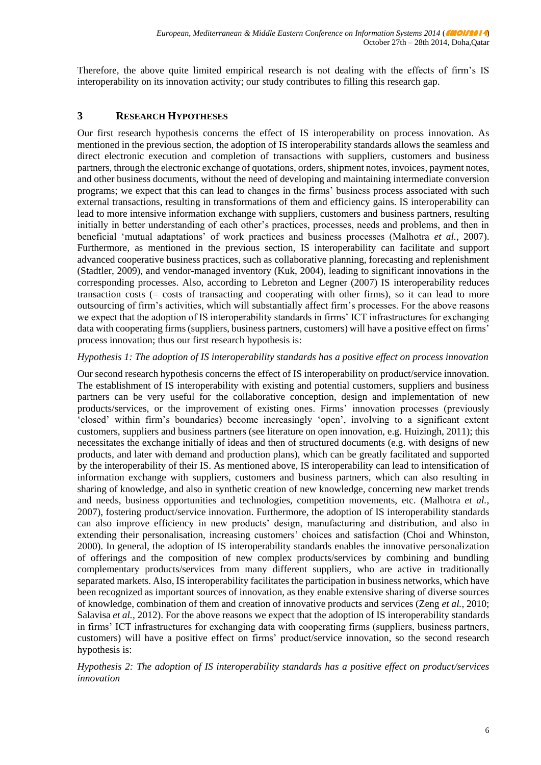Therefore, the above quite limited empirical research is not dealing with the effects of firm's IS interoperability on its innovation activity; our study contributes to filling this research gap.

## **3 RESEARCH HYPOTHESES**

Our first research hypothesis concerns the effect of IS interoperability on process innovation. As mentioned in the previous section, the adoption of IS interoperability standards allows the seamless and direct electronic execution and completion of transactions with suppliers, customers and business partners, through the electronic exchange of quotations, orders, shipment notes, invoices, payment notes, and other business documents, without the need of developing and maintaining intermediate conversion programs; we expect that this can lead to changes in the firms' business process associated with such external transactions, resulting in transformations of them and efficiency gains. IS interoperability can lead to more intensive information exchange with suppliers, customers and business partners, resulting initially in better understanding of each other's practices, processes, needs and problems, and then in beneficial 'mutual adaptations' of work practices and business processes (Malhotra *et al.*, 2007). Furthermore, as mentioned in the previous section, IS interoperability can facilitate and support advanced cooperative business practices, such as collaborative planning, forecasting and replenishment (Stadtler, 2009), and vendor-managed inventory (Kuk, 2004), leading to significant innovations in the corresponding processes. Also, according to Lebreton and Legner (2007) IS interoperability reduces transaction costs (= costs of transacting and cooperating with other firms), so it can lead to more outsourcing of firm's activities, which will substantially affect firm's processes. For the above reasons we expect that the adoption of IS interoperability standards in firms' ICT infrastructures for exchanging data with cooperating firms (suppliers, business partners, customers) will have a positive effect on firms' process innovation; thus our first research hypothesis is:

#### *Hypothesis 1: The adoption of IS interoperability standards has a positive effect on process innovation*

Our second research hypothesis concerns the effect of IS interoperability on product/service innovation. The establishment of IS interoperability with existing and potential customers, suppliers and business partners can be very useful for the collaborative conception, design and implementation of new products/services, or the improvement of existing ones. Firms' innovation processes (previously 'closed' within firm's boundaries) become increasingly 'open', involving to a significant extent customers, suppliers and business partners (see literature on open innovation, e.g. Huizingh, 2011); this necessitates the exchange initially of ideas and then of structured documents (e.g. with designs of new products, and later with demand and production plans), which can be greatly facilitated and supported by the interoperability of their IS. As mentioned above, IS interoperability can lead to intensification of information exchange with suppliers, customers and business partners, which can also resulting in sharing of knowledge, and also in synthetic creation of new knowledge, concerning new market trends and needs, business opportunities and technologies, competition movements, etc. (Malhotra *et al.*, 2007), fostering product/service innovation. Furthermore, the adoption of IS interoperability standards can also improve efficiency in new products' design, manufacturing and distribution, and also in extending their personalisation, increasing customers' choices and satisfaction (Choi and Whinston, 2000). In general, the adoption of IS interoperability standards enables the innovative personalization of offerings and the composition of new complex products/services by combining and bundling complementary products/services from many different suppliers, who are active in traditionally separated markets. Also, IS interoperability facilitates the participation in business networks, which have been recognized as important sources of innovation, as they enable extensive sharing of diverse sources of knowledge, combination of them and creation of innovative products and services (Zeng *et al.,* 2010; Salavisa *et al.*, 2012). For the above reasons we expect that the adoption of IS interoperability standards in firms' ICT infrastructures for exchanging data with cooperating firms (suppliers, business partners, customers) will have a positive effect on firms' product/service innovation, so the second research hypothesis is:

*Hypothesis 2: The adoption of IS interoperability standards has a positive effect on product/services innovation*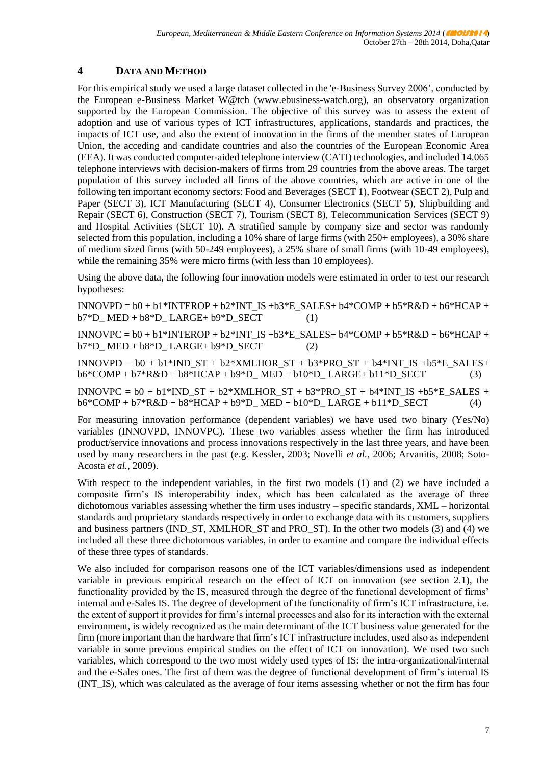## **4 DATA AND METHOD**

For this empirical study we used a large dataset collected in the 'e-Business Survey 2006', conducted by the European e-Business Market W@tch (www.ebusiness-watch.org), an observatory organization supported by the European Commission. The objective of this survey was to assess the extent of adoption and use of various types of ICT infrastructures, applications, standards and practices, the impacts of ICT use, and also the extent of innovation in the firms of the member states of European Union, the acceding and candidate countries and also the countries of the European Economic Area (EEA). It was conducted computer-aided telephone interview (CATI) technologies, and included 14.065 telephone interviews with decision-makers of firms from 29 countries from the above areas. The target population of this survey included all firms of the above countries, which are active in one of the following ten important economy sectors: Food and Beverages (SECT 1), Footwear (SECT 2), Pulp and Paper (SECT 3), ICT Manufacturing (SECT 4), Consumer Electronics (SECT 5), Shipbuilding and Repair (SECT 6), Construction (SECT 7), Tourism (SECT 8), Telecommunication Services (SECT 9) and Hospital Activities (SECT 10). A stratified sample by company size and sector was randomly selected from this population, including a 10% share of large firms (with 250+ employees), a 30% share of medium sized firms (with 50-249 employees), a 25% share of small firms (with 10-49 employees), while the remaining 35% were micro firms (with less than 10 employees).

Using the above data, the following four innovation models were estimated in order to test our research hypotheses:

 $INNOVPD = b0 + b1*INTEROP + b2*INT IS +b3*E SALES + b4*COMP + b5*R&D + b6*HCAP +$  $b7*D$  MED +  $b8*D$  LARGE+  $b9*D$  SECT (1)

 $INNOVPC = b0 + b1*INTEROP + b2*INT IS +b3*E SALES + b4*COMP + b5*R&D + b6*HCAP +$  $b7*D$  MED +  $b8*D$  LARGE+  $b9*D$  SECT (2)

INNOVPD =  $b0 + b1*INDST + b2*XMLHORST + b3*PROST + b4*INTIS +b5*E SALES +$  $b6*COMP + b7*R&D + b8*HCAP + b9*D MED + b10*DLARGE+ b11*D SECT$  (3)

INNOVPC =  $b0 + b1*INDST + b2*XMLHORST + b3*PROST + b4*INTIS +b5*E SALES +$  $b6*COMP + b7*R&D + b8*HCAP + b9*D MED + b10*DLARGE + b11*D SECT$  (4)

For measuring innovation performance (dependent variables) we have used two binary (Yes/No) variables (INNOVPD, INNOVPC). These two variables assess whether the firm has introduced product/service innovations and process innovations respectively in the last three years, and have been used by many researchers in the past (e.g. Kessler, 2003; Novelli *et al.,* 2006; Arvanitis, 2008; Soto-Acosta *et al.,* 2009).

With respect to the independent variables, in the first two models (1) and (2) we have included a composite firm's IS interoperability index, which has been calculated as the average of three dichotomous variables assessing whether the firm uses industry – specific standards, XML – horizontal standards and proprietary standards respectively in order to exchange data with its customers, suppliers and business partners (IND\_ST, XMLHOR\_ST and PRO\_ST). In the other two models (3) and (4) we included all these three dichotomous variables, in order to examine and compare the individual effects of these three types of standards.

We also included for comparison reasons one of the ICT variables/dimensions used as independent variable in previous empirical research on the effect of ICT on innovation (see section 2.1), the functionality provided by the IS, measured through the degree of the functional development of firms' internal and e-Sales IS. The degree of development of the functionality of firm's ICT infrastructure, i.e. the extent of support it provides for firm's internal processes and also for its interaction with the external environment, is widely recognized as the main determinant of the ICT business value generated for the firm (more important than the hardware that firm's ICT infrastructure includes, used also as independent variable in some previous empirical studies on the effect of ICT on innovation). We used two such variables, which correspond to the two most widely used types of IS: the intra-organizational/internal and the e-Sales ones. The first of them was the degree of functional development of firm's internal IS (INT\_IS), which was calculated as the average of four items assessing whether or not the firm has four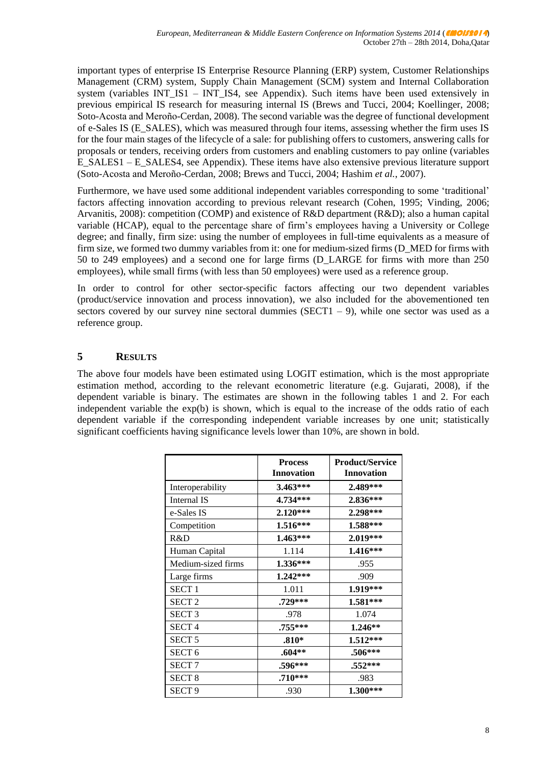important types of enterprise IS Enterprise Resource Planning (ERP) system, Customer Relationships Management (CRM) system, Supply Chain Management (SCM) system and Internal Collaboration system (variables INT\_IS1 – INT\_IS4, see Appendix). Such items have been used extensively in previous empirical IS research for measuring internal IS (Brews and Tucci, 2004; Koellinger, 2008; Soto-Acosta and Meroño-Cerdan, 2008). The second variable was the degree of functional development of e-Sales IS (E\_SALES), which was measured through four items, assessing whether the firm uses IS for the four main stages of the lifecycle of a sale: for publishing offers to customers, answering calls for proposals or tenders, receiving orders from customers and enabling customers to pay online (variables E\_SALES1 – E\_SALES4, see Appendix). These items have also extensive previous literature support (Soto-Acosta and Meroño-Cerdan, 2008; Brews and Tucci, 2004; Hashim *et al.*, 2007).

Furthermore, we have used some additional independent variables corresponding to some 'traditional' factors affecting innovation according to previous relevant research (Cohen, 1995; Vinding, 2006; Arvanitis, 2008): competition (COMP) and existence of R&D department (R&D); also a human capital variable (HCAP), equal to the percentage share of firm's employees having a University or College degree; and finally, firm size: using the number of employees in full-time equivalents as a measure of firm size, we formed two dummy variables from it: one for medium-sized firms (D\_MED for firms with 50 to 249 employees) and a second one for large firms (D\_LARGE for firms with more than 250 employees), while small firms (with less than 50 employees) were used as a reference group.

In order to control for other sector-specific factors affecting our two dependent variables (product/service innovation and process innovation), we also included for the abovementioned ten sectors covered by our survey nine sectoral dummies (SECT1 – 9), while one sector was used as a reference group.

## **5 RESULTS**

The above four models have been estimated using LOGIT estimation, which is the most appropriate estimation method, according to the relevant econometric literature (e.g. Gujarati, 2008), if the dependent variable is binary. The estimates are shown in the following tables 1 and 2. For each independent variable the exp(b) is shown, which is equal to the increase of the odds ratio of each dependent variable if the corresponding independent variable increases by one unit; statistically significant coefficients having significance levels lower than 10%, are shown in bold.

|                    | <b>Process</b><br><b>Innovation</b> | <b>Product/Service</b><br><b>Innovation</b> |
|--------------------|-------------------------------------|---------------------------------------------|
| Interoperability   | 3.463***                            | 2.489***                                    |
| Internal IS        | 4.734***                            | 2.836***                                    |
| e-Sales IS         | 2.120***                            | 2.298***                                    |
| Competition        | 1.516***                            | 1.588***                                    |
| R&D                | 1.463***                            | 2.019***                                    |
| Human Capital      | 1.114                               | 1.416***                                    |
| Medium-sized firms | 1.336***                            | .955                                        |
| Large firms        | 1.242***                            | .909                                        |
| <b>SECT1</b>       | 1.011                               | 1.919***                                    |
| <b>SECT 2</b>      | .729***                             | 1.581***                                    |
| SECT <sub>3</sub>  | .978                                | 1.074                                       |
| <b>SECT4</b>       | .755***                             | 1.246**                                     |
| SECT <sub>5</sub>  | $.810*$                             | 1.512***                                    |
| SECT <sub>6</sub>  | $.604**$                            | .506***                                     |
| <b>SECT7</b>       | .596***                             | $.552***$                                   |
| <b>SECT 8</b>      | .710***                             | .983                                        |
| <b>SECT 9</b>      | .930                                | 1.300***                                    |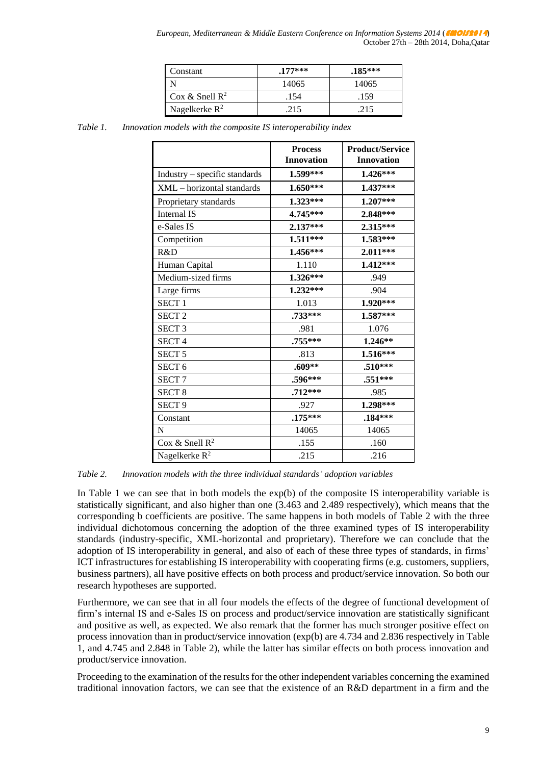| Constant                   | $.177***$ | $.185***$ |
|----------------------------|-----------|-----------|
|                            | 14065     | 14065     |
| Cox & Snell $\mathbb{R}^2$ | .154      | .159      |
| Nagelkerke $R^2$           | 215       | .215      |

*Table 1. Innovation models with the composite IS interoperability index*

|                               | <b>Process</b><br><b>Innovation</b> | <b>Product/Service</b><br><b>Innovation</b> |
|-------------------------------|-------------------------------------|---------------------------------------------|
| Industry - specific standards | 1.599***                            | 1.426***                                    |
| XML - horizontal standards    | $1.650***$                          | 1.437***                                    |
| Proprietary standards         | $1.323***$                          | 1.207***                                    |
| Internal IS                   | 4.745***                            | 2.848***                                    |
| e-Sales IS                    | 2.137***                            | 2.315***                                    |
| Competition                   | 1.511***                            | 1.583***                                    |
| R&D                           | 1.456***                            | $2.011***$                                  |
| Human Capital                 | 1.110                               | 1.412***                                    |
| Medium-sized firms            | 1.326***                            | .949                                        |
| Large firms                   | $1.232***$                          | .904                                        |
| <b>SECT1</b>                  | 1.013                               | 1.920***                                    |
| SECT <sub>2</sub>             | .733***                             | 1.587***                                    |
| <b>SECT 3</b>                 | .981                                | 1.076                                       |
| <b>SECT4</b>                  | .755***                             | 1.246**                                     |
| SECT <sub>5</sub>             | .813                                | 1.516***                                    |
| SECT <sub>6</sub>             | $.609**$                            | $.510***$                                   |
| SECT <sub>7</sub>             | .596***                             | .551***                                     |
| <b>SECT 8</b>                 | $.712***$                           | .985                                        |
| SECT <sub>9</sub>             | .927                                | 1.298***                                    |
| Constant                      | $.175***$                           | .184***                                     |
| $\mathbf N$                   | 14065                               | 14065                                       |
| Cox & Snell $R^2$             | .155                                | .160                                        |
| Nagelkerke R <sup>2</sup>     | .215                                | .216                                        |

*Table 2. Innovation models with the three individual standards' adoption variables*

In Table 1 we can see that in both models the exp(b) of the composite IS interoperability variable is statistically significant, and also higher than one (3.463 and 2.489 respectively), which means that the corresponding b coefficients are positive. The same happens in both models of Table 2 with the three individual dichotomous concerning the adoption of the three examined types of IS interoperability standards (industry-specific, XML-horizontal and proprietary). Therefore we can conclude that the adoption of IS interoperability in general, and also of each of these three types of standards, in firms' ICT infrastructures for establishing IS interoperability with cooperating firms (e.g. customers, suppliers, business partners), all have positive effects on both process and product/service innovation. So both our research hypotheses are supported.

Furthermore, we can see that in all four models the effects of the degree of functional development of firm's internal IS and e-Sales IS on process and product/service innovation are statistically significant and positive as well, as expected. We also remark that the former has much stronger positive effect on process innovation than in product/service innovation (exp(b) are 4.734 and 2.836 respectively in Table 1, and 4.745 and 2.848 in Table 2), while the latter has similar effects on both process innovation and product/service innovation.

Proceeding to the examination of the results for the other independent variables concerning the examined traditional innovation factors, we can see that the existence of an R&D department in a firm and the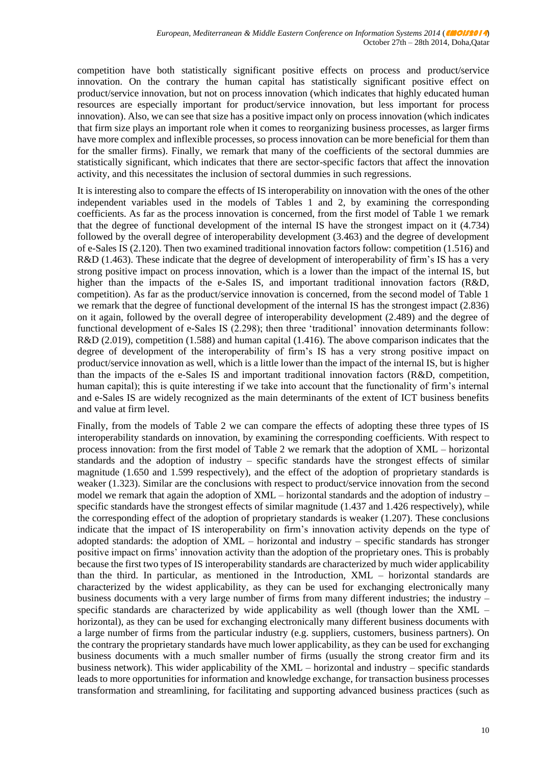competition have both statistically significant positive effects on process and product/service innovation. On the contrary the human capital has statistically significant positive effect on product/service innovation, but not on process innovation (which indicates that highly educated human resources are especially important for product/service innovation, but less important for process innovation). Also, we can see that size has a positive impact only on process innovation (which indicates that firm size plays an important role when it comes to reorganizing business processes, as larger firms have more complex and inflexible processes, so process innovation can be more beneficial for them than for the smaller firms). Finally, we remark that many of the coefficients of the sectoral dummies are statistically significant, which indicates that there are sector-specific factors that affect the innovation activity, and this necessitates the inclusion of sectoral dummies in such regressions.

It is interesting also to compare the effects of IS interoperability on innovation with the ones of the other independent variables used in the models of Tables 1 and 2, by examining the corresponding coefficients. As far as the process innovation is concerned, from the first model of Table 1 we remark that the degree of functional development of the internal IS have the strongest impact on it (4.734) followed by the overall degree of interoperability development (3.463) and the degree of development of e-Sales IS (2.120). Then two examined traditional innovation factors follow: competition (1.516) and R&D (1.463). These indicate that the degree of development of interoperability of firm's IS has a very strong positive impact on process innovation, which is a lower than the impact of the internal IS, but higher than the impacts of the e-Sales IS, and important traditional innovation factors (R&D, competition). As far as the product/service innovation is concerned, from the second model of Table 1 we remark that the degree of functional development of the internal IS has the strongest impact (2.836) on it again, followed by the overall degree of interoperability development (2.489) and the degree of functional development of e-Sales IS (2.298); then three 'traditional' innovation determinants follow: R&D (2.019), competition (1.588) and human capital (1.416). The above comparison indicates that the degree of development of the interoperability of firm's IS has a very strong positive impact on product/service innovation as well, which is a little lower than the impact of the internal IS, but is higher than the impacts of the e-Sales IS and important traditional innovation factors (R&D, competition, human capital); this is quite interesting if we take into account that the functionality of firm's internal and e-Sales IS are widely recognized as the main determinants of the extent of ICT business benefits and value at firm level.

Finally, from the models of Table 2 we can compare the effects of adopting these three types of IS interoperability standards on innovation, by examining the corresponding coefficients. With respect to process innovation: from the first model of Table 2 we remark that the adoption of XML – horizontal standards and the adoption of industry – specific standards have the strongest effects of similar magnitude (1.650 and 1.599 respectively), and the effect of the adoption of proprietary standards is weaker (1.323). Similar are the conclusions with respect to product/service innovation from the second model we remark that again the adoption of XML – horizontal standards and the adoption of industry – specific standards have the strongest effects of similar magnitude (1.437 and 1.426 respectively), while the corresponding effect of the adoption of proprietary standards is weaker (1.207). These conclusions indicate that the impact of IS interoperability on firm's innovation activity depends on the type of adopted standards: the adoption of XML – horizontal and industry – specific standards has stronger positive impact on firms' innovation activity than the adoption of the proprietary ones. This is probably because the first two types of IS interoperability standards are characterized by much wider applicability than the third. In particular, as mentioned in the Introduction, XML – horizontal standards are characterized by the widest applicability, as they can be used for exchanging electronically many business documents with a very large number of firms from many different industries; the industry  $$ specific standards are characterized by wide applicability as well (though lower than the XML – horizontal), as they can be used for exchanging electronically many different business documents with a large number of firms from the particular industry (e.g. suppliers, customers, business partners). On the contrary the proprietary standards have much lower applicability, as they can be used for exchanging business documents with a much smaller number of firms (usually the strong creator firm and its business network). This wider applicability of the XML – horizontal and industry – specific standards leads to more opportunities for information and knowledge exchange, for transaction business processes transformation and streamlining, for facilitating and supporting advanced business practices (such as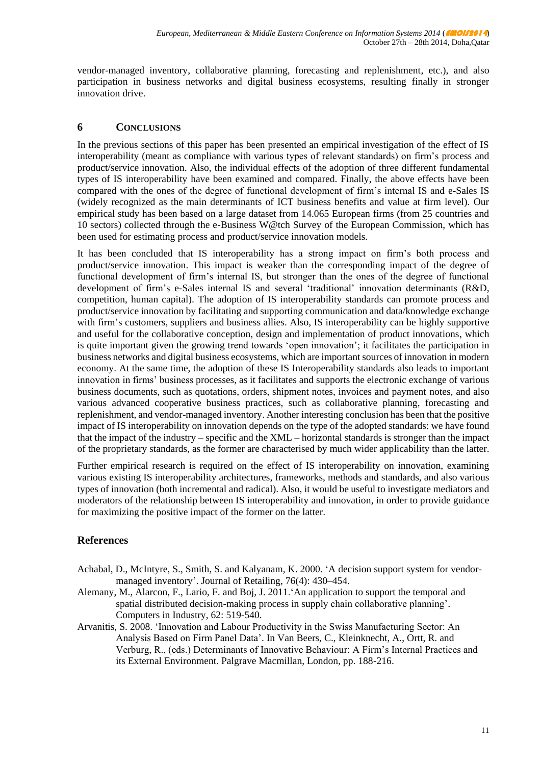vendor-managed inventory, collaborative planning, forecasting and replenishment, etc.), and also participation in business networks and digital business ecosystems, resulting finally in stronger innovation drive.

### **6 CONCLUSIONS**

In the previous sections of this paper has been presented an empirical investigation of the effect of IS interoperability (meant as compliance with various types of relevant standards) on firm's process and product/service innovation. Also, the individual effects of the adoption of three different fundamental types of IS interoperability have been examined and compared. Finally, the above effects have been compared with the ones of the degree of functional development of firm's internal IS and e-Sales IS (widely recognized as the main determinants of ICT business benefits and value at firm level). Our empirical study has been based on a large dataset from 14.065 European firms (from 25 countries and 10 sectors) collected through the e-Business W@tch Survey of the European Commission, which has been used for estimating process and product/service innovation models.

It has been concluded that IS interoperability has a strong impact on firm's both process and product/service innovation. This impact is weaker than the corresponding impact of the degree of functional development of firm's internal IS, but stronger than the ones of the degree of functional development of firm's e-Sales internal IS and several 'traditional' innovation determinants (R&D, competition, human capital). The adoption of IS interoperability standards can promote process and product/service innovation by facilitating and supporting communication and data/knowledge exchange with firm's customers, suppliers and business allies. Also, IS interoperability can be highly supportive and useful for the collaborative conception, design and implementation of product innovations, which is quite important given the growing trend towards 'open innovation'; it facilitates the participation in business networks and digital business ecosystems, which are important sources of innovation in modern economy. At the same time, the adoption of these IS Interoperability standards also leads to important innovation in firms' business processes, as it facilitates and supports the electronic exchange of various business documents, such as quotations, orders, shipment notes, invoices and payment notes, and also various advanced cooperative business practices, such as collaborative planning, forecasting and replenishment, and vendor-managed inventory. Another interesting conclusion has been that the positive impact of IS interoperability on innovation depends on the type of the adopted standards: we have found that the impact of the industry – specific and the XML – horizontal standards is stronger than the impact of the proprietary standards, as the former are characterised by much wider applicability than the latter.

Further empirical research is required on the effect of IS interoperability on innovation, examining various existing IS interoperability architectures, frameworks, methods and standards, and also various types of innovation (both incremental and radical). Also, it would be useful to investigate mediators and moderators of the relationship between IS interoperability and innovation, in order to provide guidance for maximizing the positive impact of the former on the latter.

## **References**

- Achabal, D., McIntyre, S., Smith, S. and Kalyanam, K. 2000. 'A decision support system for vendormanaged inventory'. Journal of Retailing, 76(4): 430–454.
- Alemany, M., Alarcon, F., Lario, F. and Boj, J. 2011.'An application to support the temporal and spatial distributed decision-making process in supply chain collaborative planning'. Computers in Industry, 62: 519-540.
- Arvanitis, S. 2008. 'Innovation and Labour Productivity in the Swiss Manufacturing Sector: An Analysis Based on Firm Panel Data'. In Van Beers, C., Kleinknecht, A., Ortt, R. and Verburg, R., (eds.) Determinants of Innovative Behaviour: A Firm's Internal Practices and its External Environment. Palgrave Macmillan, London, pp. 188-216.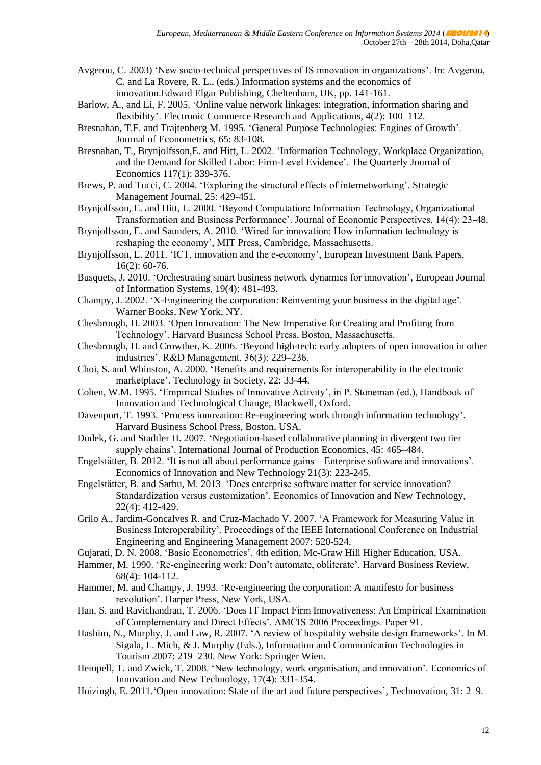- Avgerou, C. 2003) 'New socio-technical perspectives of IS innovation in organizations'. In: Avgerou, C. and La Rovere, R. L., (eds.) Information systems and the economics of innovation.Edward Elgar Publishing, Cheltenham, UK, pp. 141-161.
- Barlow, A., and Li, F. 2005. 'Online value network linkages: integration, information sharing and flexibility'. Electronic Commerce Research and Applications, 4(2): 100–112.
- Bresnahan, T.F. and Trajtenberg M. 1995. 'General Purpose Technologies: Engines of Growth'. Journal of Econometrics, 65: 83-108.
- Bresnahan, T., Brynjolfsson,E. and Hitt, L. 2002. 'Information Technology, Workplace Organization, and the Demand for Skilled Labor: Firm-Level Evidence'. The Quarterly Journal of Economics 117(1): 339-376.
- Brews, P. and Tucci, C. 2004. 'Exploring the structural effects of internetworking'. Strategic Management Journal, 25: 429-451.
- Brynjolfsson, E. and Hitt, L. 2000. 'Beyond Computation: Information Technology, Organizational Transformation and Business Performance'. Journal of Economic Perspectives, 14(4): 23-48.
- Brynjolfsson, E. and Saunders, A. 2010. 'Wired for innovation: How information technology is reshaping the economy', MIT Press, Cambridge, Massachusetts.
- Brynjolfsson, E. 2011. 'ICT, innovation and the e-economy', European Investment Bank Papers, 16(2): 60-76.
- Busquets, J. 2010. 'Orchestrating smart business network dynamics for innovation', European Journal of Information Systems, 19(4): 481-493.
- Champy, J. 2002. 'X-Engineering the corporation: Reinventing your business in the digital age'. Warner Books, New York, NY.
- Chesbrough, H. 2003. 'Open Innovation: The New Imperative for Creating and Profiting from Technology'. Harvard Business School Press, Boston, Massachusetts.
- Chesbrough, H. and Crowther, K. 2006. 'Beyond high-tech: early adopters of open innovation in other industries'. R&D Management, 36(3): 229–236.
- Choi, S. and Whinston, A. 2000. 'Benefits and requirements for interoperability in the electronic marketplace'. Technology in Society, 22: 33-44.
- Cohen, W.M. 1995. 'Empirical Studies of Innovative Activity', in P. Stoneman (ed.), Handbook of Innovation and Technological Change, Blackwell, Oxford.
- Davenport, T. 1993. 'Process innovation: Re-engineering work through information technology'. Harvard Business School Press, Boston, USA.
- Dudek, G. and Stadtler H. 2007. 'Negotiation-based collaborative planning in divergent two tier supply chains'. International Journal of Production Economics, 45: 465–484.
- Engelstätter, B. 2012. 'It is not all about performance gains Enterprise software and innovations'. Economics of Innovation and New Technology 21(3): 223-245.
- Engelstätter, B. and Sarbu, M. 2013. 'Does enterprise software matter for service innovation? Standardization versus customization'. Economics of Innovation and New Technology, 22(4): 412-429.
- Grilo A., Jardim-Goncalves R. and Cruz-Machado V. 2007. 'A Framework for Measuring Value in Business Interoperability'. Proceedings of the IEEE International Conference on Industrial Engineering and Engineering Management 2007: 520-524.
- Gujarati, D. N. 2008. 'Basic Econometrics'. 4th edition, Mc-Graw Hill Higher Education, USA.
- Hammer, M. 1990. 'Re-engineering work: Don't automate, obliterate'. Harvard Business Review, 68(4): 104-112.
- Hammer, M. and Champy, J. 1993. 'Re-engineering the corporation: A manifesto for business revolution'. Harper Press, New York, USA.
- Han, S. and Ravichandran, T. 2006. 'Does IT Impact Firm Innovativeness: An Empirical Examination of Complementary and Direct Effects'. AMCIS 2006 Proceedings. Paper 91.
- Hashim, N., Murphy, J. and Law, R. 2007. 'A review of hospitality website design frameworks'. In M. Sigala, L. Mich, & J. Murphy (Eds.), Information and Communication Technologies in Tourism 2007: 219–230. New York: Springer Wien.
- Hempell, T. and Zwick, T. 2008. 'New technology, work organisation, and innovation'. Economics of Innovation and New Technology, 17(4): 331-354.
- Huizingh, E. 2011.'Open innovation: State of the art and future perspectives', Technovation, 31: 2–9.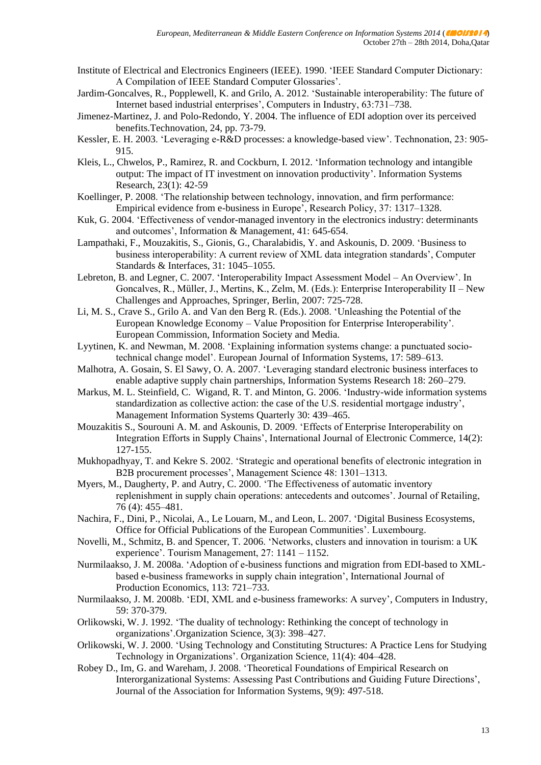- Institute of Electrical and Electronics Engineers (IEEE). 1990. 'IEEE Standard Computer Dictionary: A Compilation of IEEE Standard Computer Glossaries'.
- Jardim-Goncalves, R., Popplewell, K. and Grilo, A. 2012. 'Sustainable interoperability: The future of Internet based industrial enterprises', Computers in Industry, 63:731–738.
- Jimenez-Martinez, J. and Polo-Redondo, Y. 2004. The influence of EDI adoption over its perceived benefits.Technovation, 24, pp. 73-79.
- Kessler, E. H. 2003. 'Leveraging e-R&D processes: a knowledge-based view'. Technonation, 23: 905- 915.
- Kleis, L., Chwelos, P., Ramirez, R. and Cockburn, I. 2012. 'Information technology and intangible output: The impact of IT investment on innovation productivity'. Information Systems Research, 23(1): 42-59
- Koellinger, P. 2008. 'The relationship between technology, innovation, and firm performance: Empirical evidence from e-business in Europe', Research Policy, 37: 1317–1328.
- Kuk, G. 2004. 'Effectiveness of vendor-managed inventory in the electronics industry: determinants and outcomes', Information & Management, 41: 645-654.
- Lampathaki, F., Mouzakitis, S., Gionis, G., Charalabidis, Y. and Askounis, D. 2009. 'Business to business interoperability: A current review of XML data integration standards', Computer Standards & Interfaces, 31: 1045–1055.
- Lebreton, B. and Legner, C. 2007. 'Interoperability Impact Assessment Model An Overview'. In Goncalves, R., Müller, J., Mertins, K., Zelm, M. (Eds.): Enterprise Interoperability II – New Challenges and Approaches, Springer, Berlin, 2007: 725-728.
- Li, M. S., Crave S., Grilo A. and Van den Berg R. (Eds.). 2008. 'Unleashing the Potential of the European Knowledge Economy – Value Proposition for Enterprise Interoperability'. European Commission, Information Society and Media.
- Lyytinen, K. and Newman, M. 2008. 'Explaining information systems change: a punctuated sociotechnical change model'. European Journal of Information Systems, 17: 589–613.
- Malhotra, A. Gosain, S. El Sawy, O. A. 2007. 'Leveraging standard electronic business interfaces to enable adaptive supply chain partnerships, Information Systems Research 18: 260–279.
- Markus, M. L. Steinfield, C. Wigand, R. T. and Minton, G. 2006. 'Industry-wide information systems standardization as collective action: the case of the U.S. residential mortgage industry', Management Information Systems Quarterly 30: 439–465.
- Mouzakitis S., Sourouni A. M. and Askounis, D. 2009. 'Effects of Enterprise Interoperability on Integration Efforts in Supply Chains', International Journal of Electronic Commerce, 14(2): 127-155.
- Mukhopadhyay, T. and Kekre S. 2002. 'Strategic and operational benefits of electronic integration in B2B procurement processes', Management Science 48: 1301–1313.
- Myers, M., Daugherty, P. and Autry, C. 2000. 'The Effectiveness of automatic inventory replenishment in supply chain operations: antecedents and outcomes'. Journal of Retailing, 76 (4): 455–481.
- Nachira, F., Dini, P., Nicolai, A., Le Louarn, M., and Leon, L. 2007. 'Digital Business Ecosystems, Office for Official Publications of the European Communities'. Luxembourg.
- Novelli, M., Schmitz, B. and Spencer, T. 2006. 'Networks, clusters and innovation in tourism: a UK experience'. Tourism Management, 27: 1141 – 1152.
- Nurmilaakso, J. M. 2008a. 'Adoption of e-business functions and migration from EDI-based to XMLbased e-business frameworks in supply chain integration', International Journal of Production Economics, 113: 721–733.
- Nurmilaakso, J. M. 2008b. 'EDI, XML and e-business frameworks: A survey', Computers in Industry, 59: 370-379.
- Orlikowski, W. J. 1992. 'The duality of technology: Rethinking the concept of technology in organizations'.Organization Science, 3(3): 398–427.
- Orlikowski, W. J. 2000. 'Using Technology and Constituting Structures: A Practice Lens for Studying Technology in Organizations'. Organization Science, 11(4): 404–428.
- Robey D., Im, G. and Wareham, J. 2008. 'Theoretical Foundations of Empirical Research on Interorganizational Systems: Assessing Past Contributions and Guiding Future Directions', Journal of the Association for Information Systems, 9(9): 497-518.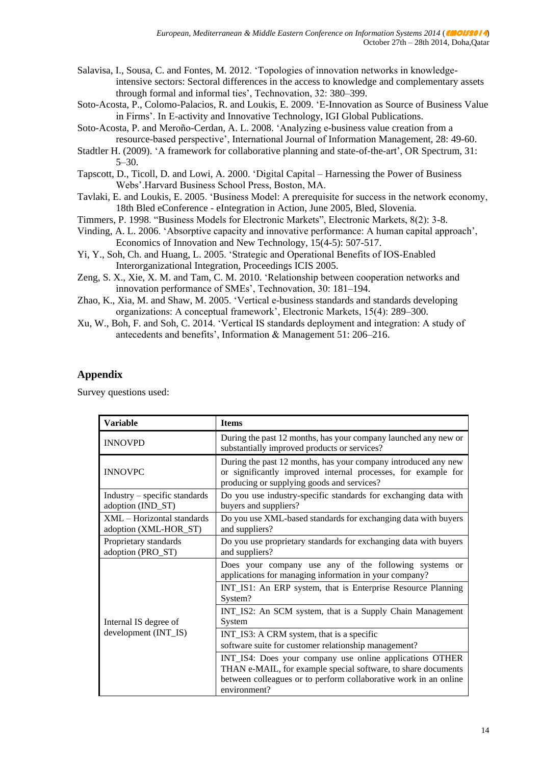- Salavisa, I., Sousa, C. and Fontes, M. 2012. 'Topologies of innovation networks in knowledgeintensive sectors: Sectoral differences in the access to knowledge and complementary assets through formal and informal ties', Technovation, 32: 380–399.
- Soto-Acosta, P., Colomo-Palacios, R. and Loukis, E. 2009. 'E-Innovation as Source of Business Value in Firms'. In E-activity and Innovative Technology, IGI Global Publications.
- Soto-Acosta, P. and Meroño-Cerdan, A. L. 2008. 'Analyzing e-business value creation from a resource-based perspective', International Journal of Information Management, 28: 49-60.
- Stadtler H. (2009). 'A framework for collaborative planning and state-of-the-art', OR Spectrum, 31: 5–30.
- Tapscott, D., Ticoll, D. and Lowi, A. 2000. 'Digital Capital Harnessing the Power of Business Webs'.Harvard Business School Press, Boston, MA.
- Tavlaki, E. and Loukis, E. 2005. 'Business Model: A prerequisite for success in the network economy, 18th Bled eConference - eIntegration in Action, June 2005, Bled, Slovenia.
- Timmers, P. 1998. "Business Models for Electronic Markets", Electronic Markets, 8(2): 3-8.
- Vinding, A. L. 2006. 'Absorptive capacity and innovative performance: A human capital approach', Economics of Innovation and New Technology, 15(4-5): 507-517.
- Yi, Y., Soh, Ch. and Huang, L. 2005. 'Strategic and Operational Benefits of IOS-Enabled Interorganizational Integration, Proceedings ICIS 2005.
- Zeng, S. X., Xie, X. M. and Tam, C. M. 2010. 'Relationship between cooperation networks and innovation performance of SMEs', Technovation, 30: 181–194.
- Zhao, K., Xia, M. and Shaw, M. 2005. 'Vertical e-business standards and standards developing organizations: A conceptual framework', Electronic Markets, 15(4): 289–300.
- Xu, W., Boh, F. and Soh, C. 2014. 'Vertical IS standards deployment and integration: A study of antecedents and benefits', Information & Management 51: 206–216.

### **Appendix**

Survey questions used:

| <b>Variable</b>                                     | <b>Items</b>                                                                                                                                                                                                  |
|-----------------------------------------------------|---------------------------------------------------------------------------------------------------------------------------------------------------------------------------------------------------------------|
| <b>INNOVPD</b>                                      | During the past 12 months, has your company launched any new or<br>substantially improved products or services?                                                                                               |
| <b>INNOVPC</b>                                      | During the past 12 months, has your company introduced any new<br>or significantly improved internal processes, for example for<br>producing or supplying goods and services?                                 |
| Industry - specific standards<br>adoption (IND_ST)  | Do you use industry-specific standards for exchanging data with<br>buyers and suppliers?                                                                                                                      |
| XML – Horizontal standards<br>adoption (XML-HOR_ST) | Do you use XML-based standards for exchanging data with buyers<br>and suppliers?                                                                                                                              |
| Proprietary standards<br>adoption (PRO_ST)          | Do you use proprietary standards for exchanging data with buyers<br>and suppliers?                                                                                                                            |
| Internal IS degree of<br>development (INT_IS)       | Does your company use any of the following systems or<br>applications for managing information in your company?                                                                                               |
|                                                     | INT_IS1: An ERP system, that is Enterprise Resource Planning<br>System?                                                                                                                                       |
|                                                     | INT_IS2: An SCM system, that is a Supply Chain Management<br>System                                                                                                                                           |
|                                                     | INT_IS3: A CRM system, that is a specific                                                                                                                                                                     |
|                                                     | software suite for customer relationship management?                                                                                                                                                          |
|                                                     | INT_IS4: Does your company use online applications OTHER<br>THAN e-MAIL, for example special software, to share documents<br>between colleagues or to perform collaborative work in an online<br>environment? |